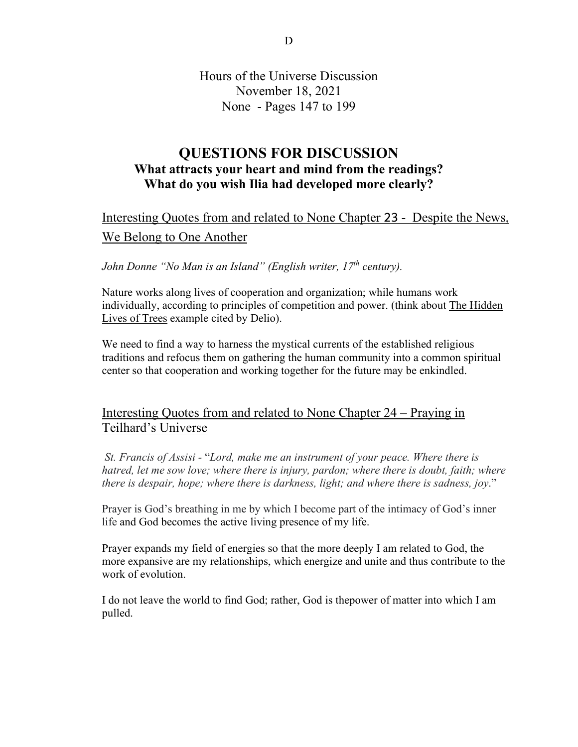Hours of the Universe Discussion November 18, 2021 None - Pages 147 to 199

## **QUESTIONS FOR DISCUSSION What attracts your heart and mind from the readings? What do you wish Ilia had developed more clearly?**

# Interesting Quotes from and related to None Chapter 23 - Despite the News, We Belong to One Another

*John Donne "No Man is an Island" (English writer, 17th century).*

Nature works along lives of cooperation and organization; while humans work individually, according to principles of competition and power. (think about The Hidden Lives of Trees example cited by Delio).

We need to find a way to harness the mystical currents of the established religious traditions and refocus them on gathering the human community into a common spiritual center so that cooperation and working together for the future may be enkindled.

## Interesting Quotes from and related to None Chapter 24 – Praying in Teilhard's Universe

*St. Francis of Assisi -* "*Lord, make me an instrument of your peace. Where there is hatred, let me sow love; where there is injury, pardon; where there is doubt, faith; where there is despair, hope; where there is darkness, light; and where there is sadness, joy*."

Prayer is God's breathing in me by which I become part of the intimacy of God's inner life and God becomes the active living presence of my life.

Prayer expands my field of energies so that the more deeply I am related to God, the more expansive are my relationships, which energize and unite and thus contribute to the work of evolution.

I do not leave the world to find God; rather, God is thepower of matter into which I am pulled.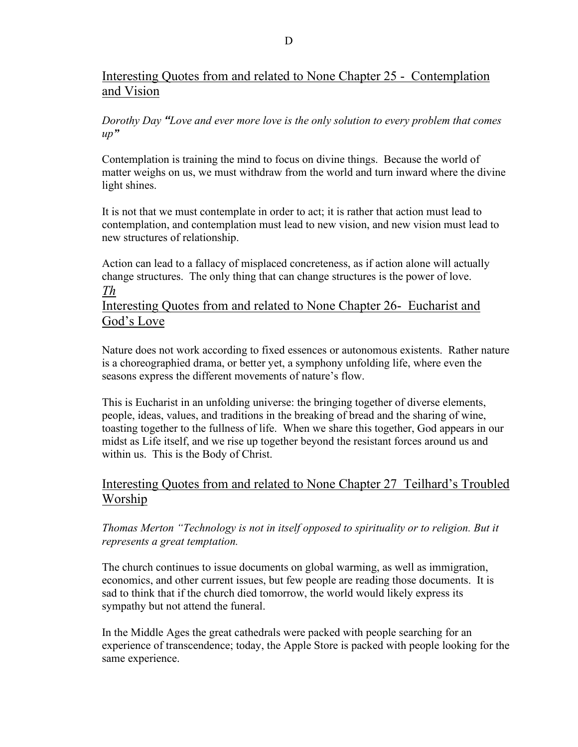## Interesting Quotes from and related to None Chapter 25 - Contemplation and Vision

#### *Dorothy Day "Love and ever more love is the only solution to every problem that comes up"*

Contemplation is training the mind to focus on divine things. Because the world of matter weighs on us, we must withdraw from the world and turn inward where the divine light shines.

It is not that we must contemplate in order to act; it is rather that action must lead to contemplation, and contemplation must lead to new vision, and new vision must lead to new structures of relationship.

Action can lead to a fallacy of misplaced concreteness, as if action alone will actually change structures. The only thing that can change structures is the power of love. *Th*

Interesting Quotes from and related to None Chapter 26- Eucharist and God's Love

Nature does not work according to fixed essences or autonomous existents. Rather nature is a choreographied drama, or better yet, a symphony unfolding life, where even the seasons express the different movements of nature's flow.

This is Eucharist in an unfolding universe: the bringing together of diverse elements, people, ideas, values, and traditions in the breaking of bread and the sharing of wine, toasting together to the fullness of life. When we share this together, God appears in our midst as Life itself, and we rise up together beyond the resistant forces around us and within us. This is the Body of Christ.

## Interesting Quotes from and related to None Chapter 27 Teilhard's Troubled Worship

#### *Thomas Merton "Technology is not in itself opposed to spirituality or to religion. But it represents a great temptation.*

The church continues to issue documents on global warming, as well as immigration, economics, and other current issues, but few people are reading those documents. It is sad to think that if the church died tomorrow, the world would likely express its sympathy but not attend the funeral.

In the Middle Ages the great cathedrals were packed with people searching for an experience of transcendence; today, the Apple Store is packed with people looking for the same experience.